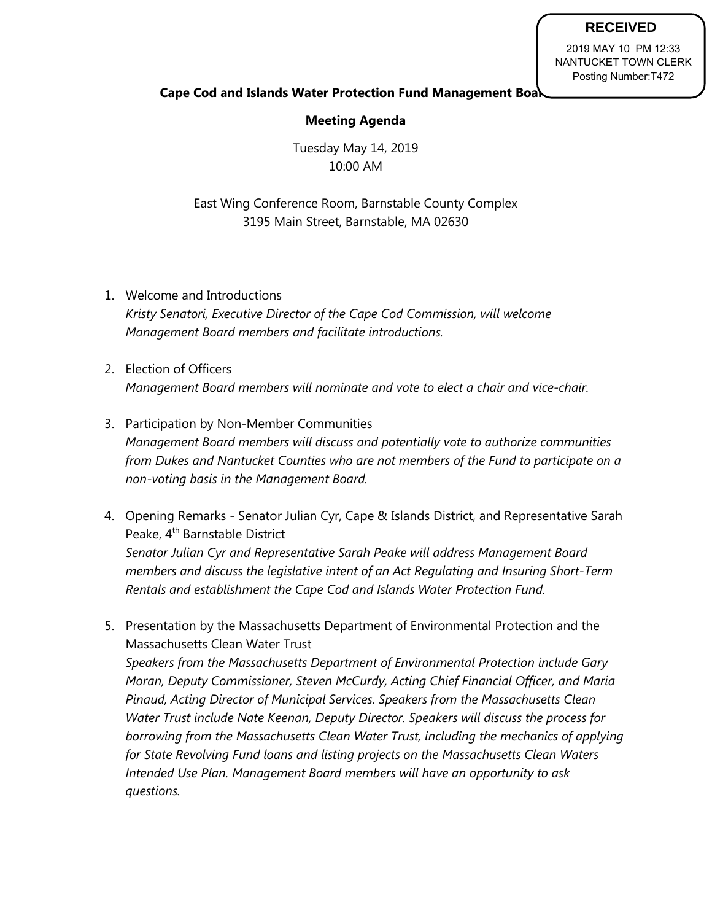## **RECEIVED**

2019 MAY 10 PM 12:33 NANTUCKET TOWN CLERK Posting Number:T472

## **Cape Cod and Islands Water Protection Fund Management Boat**

## **Meeting Agenda**

Tuesday May 14, 2019 10:00 AM

East Wing Conference Room, Barnstable County Complex 3195 Main Street, Barnstable, MA 02630

- 1. Welcome and Introductions *Kristy Senatori, Executive Director of the Cape Cod Commission, will welcome Management Board members and facilitate introductions.*
- 2. Election of Officers *Management Board members will nominate and vote to elect a chair and vice-chair.*
- 3. Participation by Non-Member Communities *Management Board members will discuss and potentially vote to authorize communities from Dukes and Nantucket Counties who are not members of the Fund to participate on a non-voting basis in the Management Board.*
- 4. Opening Remarks Senator Julian Cyr, Cape & Islands District, and Representative Sarah Peake, 4<sup>th</sup> Barnstable District *Senator Julian Cyr and Representative Sarah Peake will address Management Board members and discuss the legislative intent of an Act Regulating and Insuring Short-Term Rentals and establishment the Cape Cod and Islands Water Protection Fund.*
- 5. Presentation by the Massachusetts Department of Environmental Protection and the Massachusetts Clean Water Trust *Speakers from the Massachusetts Department of Environmental Protection include Gary Moran, Deputy Commissioner, Steven McCurdy, Acting Chief Financial Officer, and Maria Pinaud, Acting Director of Municipal Services. Speakers from the Massachusetts Clean Water Trust include Nate Keenan, Deputy Director. Speakers will discuss the process for borrowing from the Massachusetts Clean Water Trust, including the mechanics of applying for State Revolving Fund loans and listing projects on the Massachusetts Clean Waters Intended Use Plan. Management Board members will have an opportunity to ask questions.*